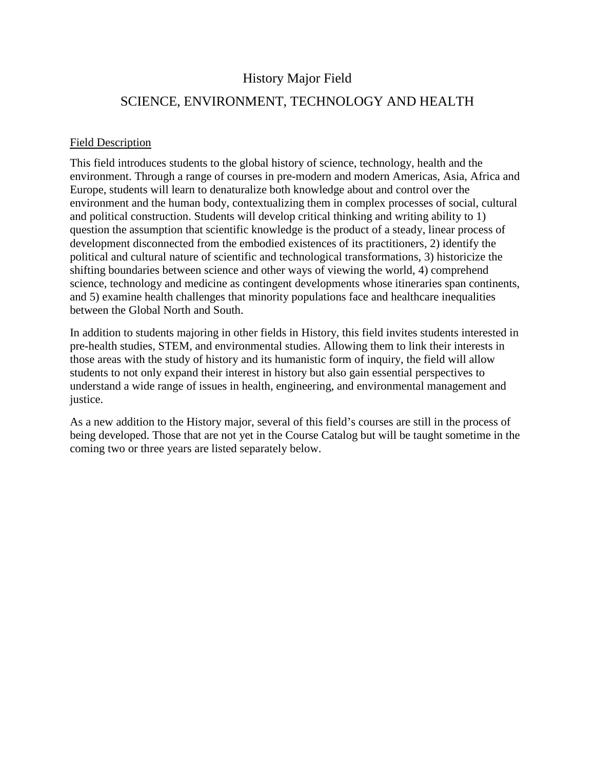## History Major Field

## SCIENCE, ENVIRONMENT, TECHNOLOGY AND HEALTH

## Field Description

This field introduces students to the global history of science, technology, health and the environment. Through a range of courses in pre-modern and modern Americas, Asia, Africa and Europe, students will learn to denaturalize both knowledge about and control over the environment and the human body, contextualizing them in complex processes of social, cultural and political construction. Students will develop critical thinking and writing ability to 1) question the assumption that scientific knowledge is the product of a steady, linear process of development disconnected from the embodied existences of its practitioners, 2) identify the political and cultural nature of scientific and technological transformations, 3) historicize the shifting boundaries between science and other ways of viewing the world, 4) comprehend science, technology and medicine as contingent developments whose itineraries span continents, and 5) examine health challenges that minority populations face and healthcare inequalities between the Global North and South.

In addition to students majoring in other fields in History, this field invites students interested in pre-health studies, STEM, and environmental studies. Allowing them to link their interests in those areas with the study of history and its humanistic form of inquiry, the field will allow students to not only expand their interest in history but also gain essential perspectives to understand a wide range of issues in health, engineering, and environmental management and justice.

As a new addition to the History major, several of this field's courses are still in the process of being developed. Those that are not yet in the Course Catalog but will be taught sometime in the coming two or three years are listed separately below.